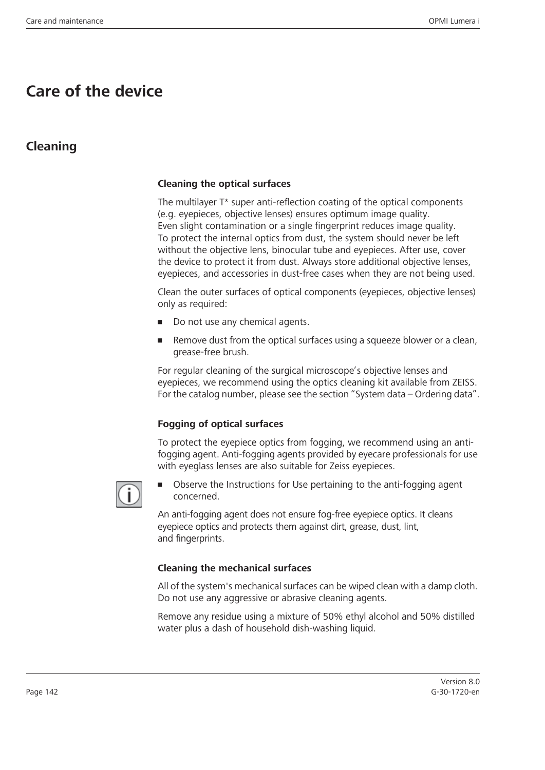# **Care of the device**

# **Cleaning**

#### **Cleaning the optical surfaces**

The multilayer T\* super anti-reflection coating of the optical components (e.g. eyepieces, objective lenses) ensures optimum image quality. Even slight contamination or a single fingerprint reduces image quality. To protect the internal optics from dust, the system should never be left without the objective lens, binocular tube and eyepieces. After use, cover the device to protect it from dust. Always store additional objective lenses, eyepieces, and accessories in dust-free cases when they are not being used.

Clean the outer surfaces of optical components (eyepieces, objective lenses) only as required:

- Do not use any chemical agents.
- Remove dust from the optical surfaces using a squeeze blower or a clean, grease-free brush.

For regular cleaning of the surgical microscope's objective lenses and eyepieces, we recommend using the optics cleaning kit available from ZEISS. For the catalog number, please see the section "System data – Ordering data".

#### **Fogging of optical surfaces**

To protect the eyepiece optics from fogging, we recommend using an antifogging agent. Anti-fogging agents provided by eyecare professionals for use with eyeglass lenses are also suitable for Zeiss eyepieces.



• Observe the Instructions for Use pertaining to the anti-fogging agent concerned.

An anti-fogging agent does not ensure fog-free eyepiece optics. It cleans eyepiece optics and protects them against dirt, grease, dust, lint, and fingerprints.

#### **Cleaning the mechanical surfaces**

All of the system's mechanical surfaces can be wiped clean with a damp cloth. Do not use any aggressive or abrasive cleaning agents.

Remove any residue using a mixture of 50% ethyl alcohol and 50% distilled water plus a dash of household dish-washing liquid.